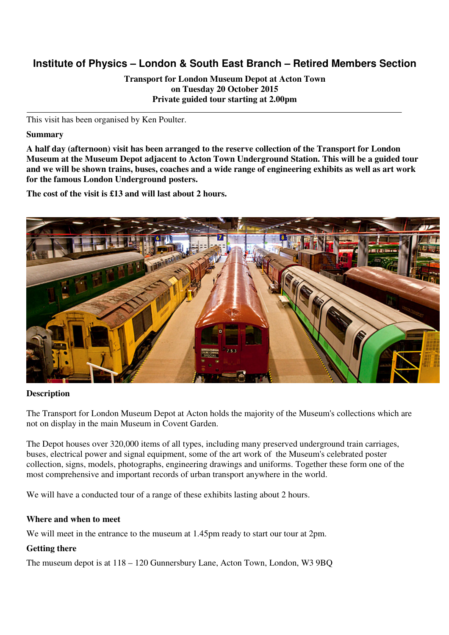# **Institute of Physics – London & South East Branch – Retired Members Section**

**Transport for London Museum Depot at Acton Town on Tuesday 20 October 2015 Private guided tour starting at 2.00pm** 

This visit has been organised by Ken Poulter.

#### **Summary**

**A half day (afternoon) visit has been arranged to the reserve collection of the Transport for London Museum at the Museum Depot adjacent to Acton Town Underground Station. This will be a guided tour and we will be shown trains, buses, coaches and a wide range of engineering exhibits as well as art work for the famous London Underground posters.** 

**The cost of the visit is £13 and will last about 2 hours.** 



#### **Description**

The Transport for London Museum Depot at Acton holds the majority of the Museum's collections which are not on display in the main Museum in Covent Garden.

The Depot houses over 320,000 items of all types, including many preserved underground train carriages, buses, electrical power and signal equipment, some of the art work of the Museum's celebrated poster collection, signs, models, photographs, engineering drawings and uniforms. Together these form one of the most comprehensive and important records of urban transport anywhere in the world.

We will have a conducted tour of a range of these exhibits lasting about 2 hours.

#### **Where and when to meet**

We will meet in the entrance to the museum at 1.45pm ready to start our tour at 2pm.

### **Getting there**

The museum depot is at 118 – 120 Gunnersbury Lane, Acton Town, London, W3 9BQ